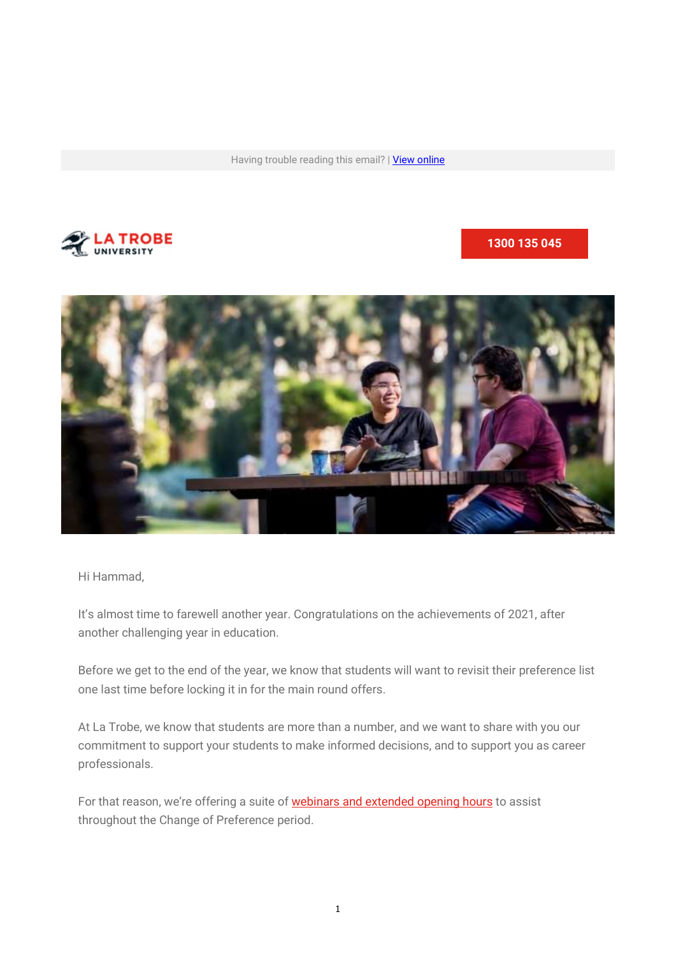Having trouble reading this email? | View online



1300 135 045



Hi Hammad,

It's almost time to farewell another year. Congratulations on the achievements of 2021, after another challenging year in education.

Before we get to the end of the year, we know that students will want to revisit their preference list one last time before locking it in for the main round offers.

At La Trobe, we know that students are more than a number, and we want to share with you our commitment to support your students to make informed decisions, and to support you as career professionals.

For that reason, we're offering a suite of **webinars and extended opening hours** to assist throughout the Change of Preference period.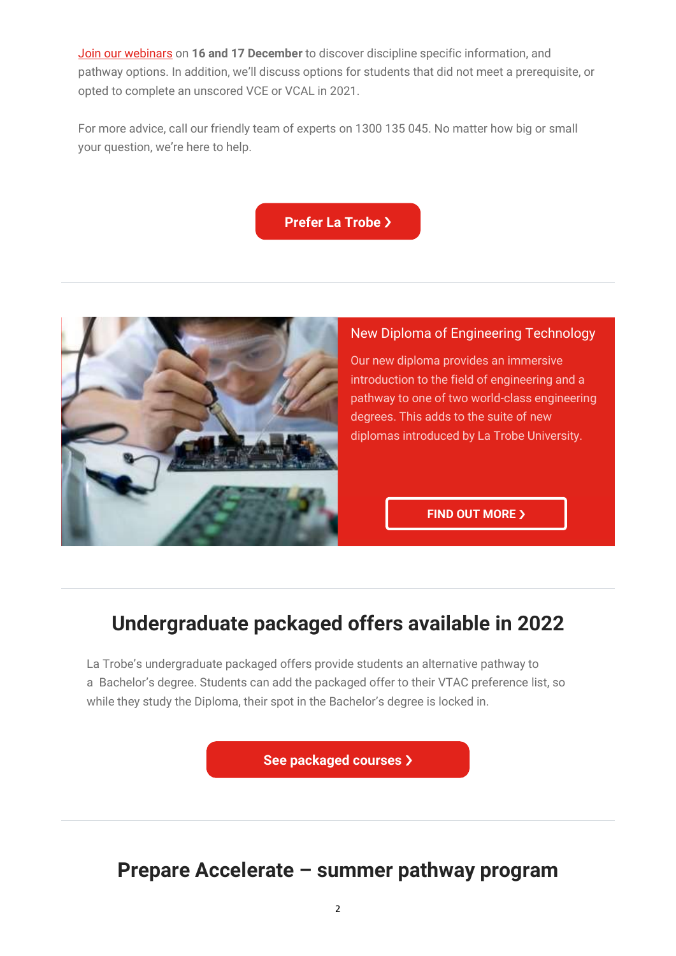Join our webinars on 16 and 17 December to discover discipline specific information, and pathway options. In addition, we'll discuss options for students that did not meet a prerequisite, or opted to complete an unscored VCE or VCAL in 2021.

For more advice, call our friendly team of experts on 1300 135 045. No matter how big or small your question, we're here to help.

Prefer La Trobe >



## New Diploma of Engineering Technology

Our new diploma provides an immersive introduction to the field of engineering and a pathway to one of two world-class engineering degrees. This adds to the suite of new diplomas introduced by La Trobe University.

**FIND OUT MORE >** 

# Undergraduate packaged offers available in 2022

La Trobe's undergraduate packaged offers provide students an alternative pathway to a Bachelor's degree. Students can add the packaged offer to their VTAC preference list, so while they study the Diploma, their spot in the Bachelor's degree is locked in.

See packaged courses  $\lambda$ 

## Prepare Accelerate – summer pathway program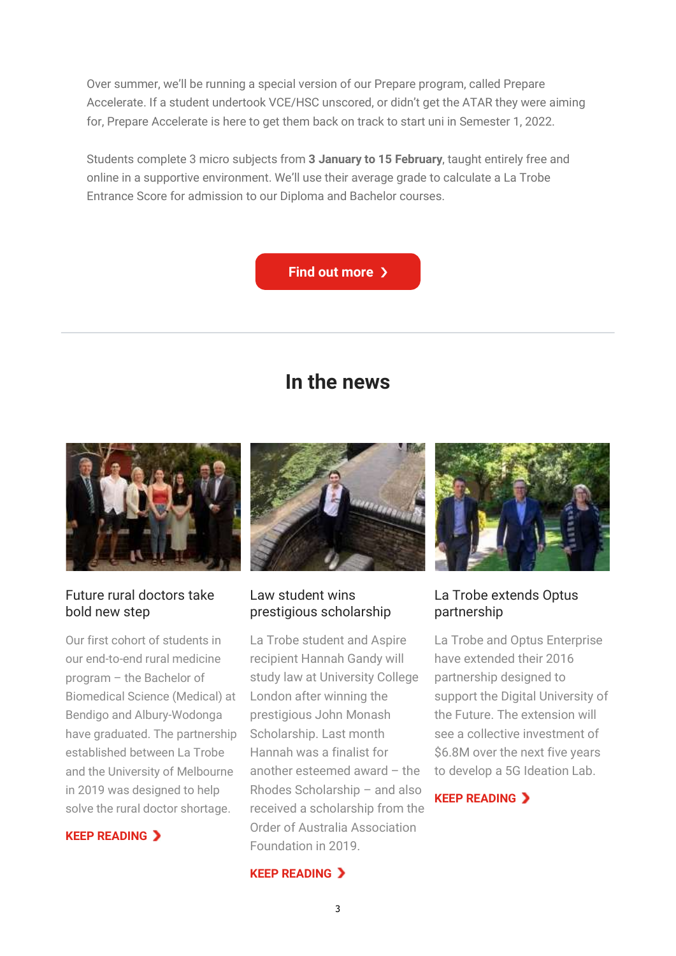Over summer, we'll be running a special version of our Prepare program, called Prepare Accelerate. If a student undertook VCE/HSC unscored, or didn't get the ATAR they were aiming for, Prepare Accelerate is here to get them back on track to start uni in Semester 1, 2022.

Students complete 3 micro subjects from 3 January to 15 February, taught entirely free and online in a supportive environment. We'll use their average grade to calculate a La Trobe Entrance Score for admission to our Diploma and Bachelor courses.



## In the news



## Future rural doctors take bold new step

Our first cohort of students in our end-to-end rural medicine program – the Bachelor of Biomedical Science (Medical) at Bendigo and Albury-Wodonga have graduated. The partnership established between La Trobe and the University of Melbourne in 2019 was designed to help solve the rural doctor shortage.





## Law student wins prestigious scholarship

La Trobe student and Aspire recipient Hannah Gandy will study law at University College London after winning the prestigious John Monash Scholarship. Last month Hannah was a finalist for another esteemed award – the Rhodes Scholarship – and also received a scholarship from the Order of Australia Association Foundation in 2019.

#### **KEEP READING >**



## La Trobe extends Optus partnership

La Trobe and Optus Enterprise have extended their 2016 partnership designed to support the Digital University of the Future. The extension will see a collective investment of \$6.8M over the next five years to develop a 5G Ideation Lab.

## KEEP READING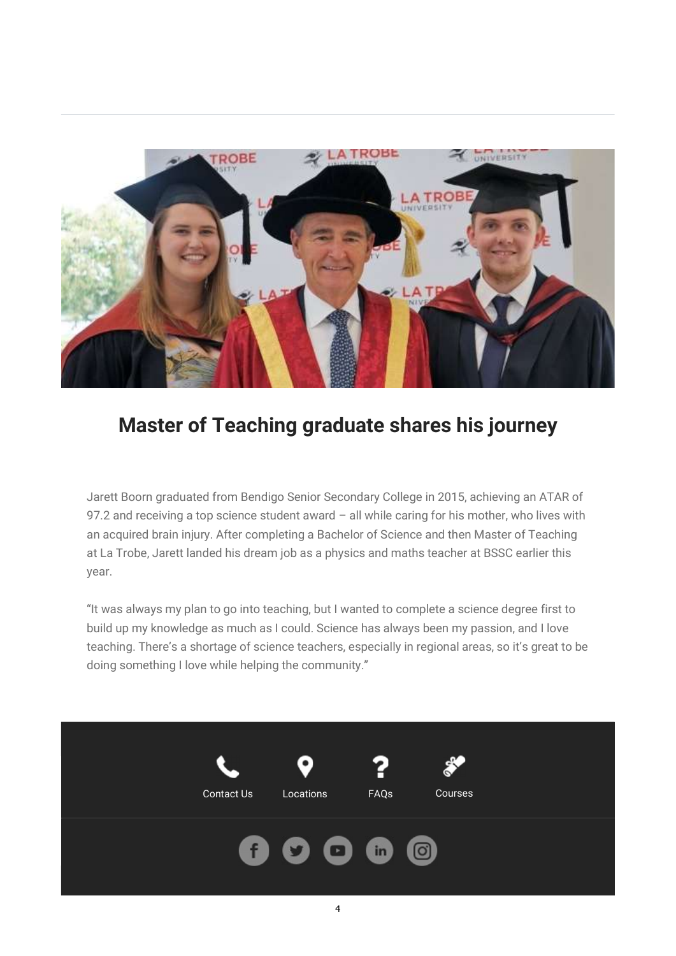

## Master of Teaching graduate shares his journey

Jarett Boorn graduated from Bendigo Senior Secondary College in 2015, achieving an ATAR of 97.2 and receiving a top science student award - all while caring for his mother, who lives with an acquired brain injury. After completing a Bachelor of Science and then Master of Teaching at La Trobe, Jarett landed his dream job as a physics and maths teacher at BSSC earlier this year.

"It was always my plan to go into teaching, but I wanted to complete a science degree first to build up my knowledge as much as I could. Science has always been my passion, and I love teaching. There's a shortage of science teachers, especially in regional areas, so it's great to be doing something I love while helping the community."